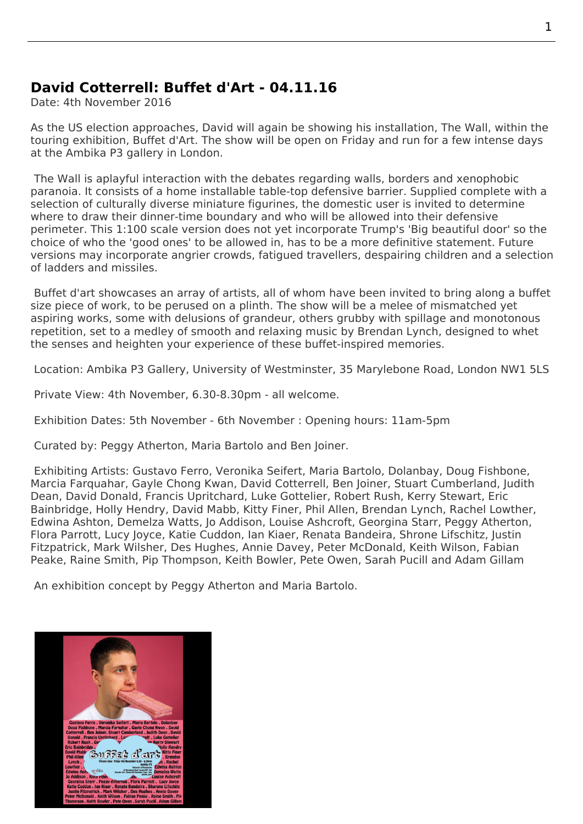## **David Cotterrell: Buffet d'Art - 04.11.16**

Date: 4th November 2016

As the US election approaches, David will again be showing his installation, The Wall, within the touring exhibition, Buffet d'Art. The show will be open on Friday and run for a few intense days at the Ambika P3 gallery in London.

The Wall is aplayful interaction with the debates regarding walls, borders a[nd xenop](http://cotterrell.com/projects/4579/the-wall/)hobic paranoia. It consists of a home installable table-top defensive barrier. Supplied complete with a selecti[on of cultur](http://www.p3exhibitions.com/about/)ally diverse miniature figurines, the domestic user is invited to determine where to draw their dinner-time boundary and who will be allowed into their defensive perimeter. This 1:100 scale version does not yet incorporate Trump's 'Big beautiful door' so the choice of who the 'good ones' to be allowed in, has to be a more definitive statement. Future versions may incorporate angrier crowds, fatigued travellers, despairing children and a selection of ladders and missiles.

Buffet d'art showcases an array of artists, all of whom have been invited to bring along a buffet size piece of work, to be perused on a plinth. The show will be a melee of mismatched yet aspiring works, some with delusions of grandeur, others grubby with spillage and monotonous repetition, set to a medley of smooth and relaxing music by Brendan Lynch, designed to whet the senses and heighten your experience of these buffet-inspired memories.

Location: Ambika P3 Gallery, University of Westminster, 35 Marylebone Road, London NW1 5LS

Private View: 4th November, 6.30-8.30pm - all welcome.

Exhibitio[n Dates: 5th November - 6th November : Opening hours: 11am-5pm](http://www.p3exhibitions.com/where/)

Curated by: Peggy Atherton, Maria Bartolo and Ben Joiner.

 Exhibiting Artists: Gustavo Ferro, Veronika Seifert, Maria Bartolo, Dolanbay, Doug Fishbone, Marcia Farquahar, Gayle Chong Kwan, David Cotterrell, Ben Joiner, Stuart Cumberland, Judith Dean, David Donald, Francis Upritchard, Luke Gottelier, Robert Rush, Kerry Stewart, Eric Bainbridge, Holly Hendry, David Mabb, Kitty Finer, Phil Allen, Brendan Lynch, Rachel Lowther, Edwina Ashton, Demelza Watts, Jo Addison, Louise Ashcroft, Georgina Starr, Peggy Atherton, Flora Parrott, Lucy Joyce, Katie Cuddon, Ian Kiaer, Renata Bandeira, Shrone Lifschitz, Justin Fitzpatrick, Mark Wilsher, Des Hughes, Annie Davey, Peter McDonald, Keith Wilson, Fabian Peake, Raine Smith, Pip Thompson, Keith Bowler, Pete Owen, Sarah Pucill and Adam Gillam

An exhibition concept by Peggy Atherton and Maria Bartolo.